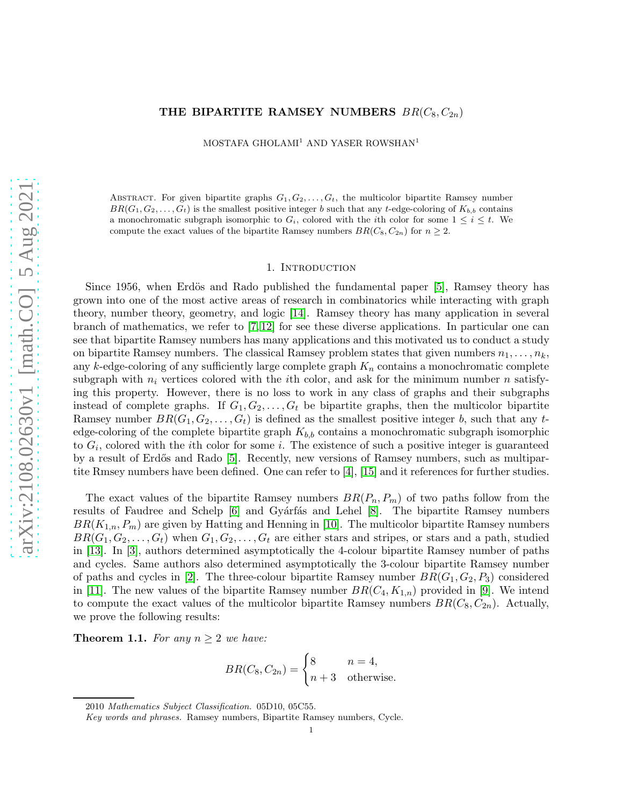## THE BIPARTITE RAMSEY NUMBERS  $BR(C_8, C_{2n})$

MOSTAFA GHOLAMI<sup>1</sup> AND YASER ROWSHAN<sup>1</sup>

ABSTRACT. For given bipartite graphs  $G_1, G_2, \ldots, G_t$ , the multicolor bipartite Ramsey number  $BR(G_1, G_2, \ldots, G_t)$  is the smallest positive integer b such that any t-edge-coloring of  $K_{b,b}$  contains a monochromatic subgraph isomorphic to  $G_i$ , colored with the *i*th color for some  $1 \leq i \leq t$ . We compute the exact values of the bipartite Ramsey numbers  $BR(C_8, C_{2n})$  for  $n \geq 2$ .

#### 1. INTRODUCTION

Since 1956, when Erdös and Rado published the fundamental paper  $[5]$ , Ramsey theory has grown into one of the most active areas of research in combinatorics while interacting with graph theory, number theory, geometry, and logic [\[14\]](#page-11-1). Ramsey theory has many application in several branch of mathematics, we refer to [\[7,](#page-11-2) [12\]](#page-11-3) for see these diverse applications. In particular one can see that bipartite Ramsey numbers has many applications and this motivated us to conduct a study on bipartite Ramsey numbers. The classical Ramsey problem states that given numbers  $n_1, \ldots, n_k$ , any k-edge-coloring of any sufficiently large complete graph  $K_n$  contains a monochromatic complete subgraph with  $n_i$  vertices colored with the *i*th color, and ask for the minimum number n satisfying this property. However, there is no loss to work in any class of graphs and their subgraphs instead of complete graphs. If  $G_1, G_2, \ldots, G_t$  be bipartite graphs, then the multicolor bipartite Ramsey number  $BR(G_1, G_2, \ldots, G_t)$  is defined as the smallest positive integer b, such that any tedge-coloring of the complete bipartite graph  $K_{b,b}$  contains a monochromatic subgraph isomorphic to  $G_i$ , colored with the *i*th color for some *i*. The existence of such a positive integer is guaranteed by a result of Erdős and Rado [\[5\]](#page-11-0). Recently, new versions of Ramsey numbers, such as multipartite Rmsey numbers have been defined. One can refer to [\[4\]](#page-11-4), [\[15\]](#page-12-0) and it references for further studies.

The exact values of the bipartite Ramsey numbers  $BR(P_n, P_m)$  of two paths follow from the results of Faudree and Schelp [\[6\]](#page-11-5) and Gyárfás and Lehel [\[8\]](#page-11-6). The bipartite Ramsey numbers  $BR(K_{1,n}, P_m)$  are given by Hatting and Henning in [\[10\]](#page-11-7). The multicolor bipartite Ramsey numbers  $BR(G_1, G_2, \ldots, G_t)$  when  $G_1, G_2, \ldots, G_t$  are either stars and stripes, or stars and a path, studied in [\[13\]](#page-11-8). In [\[3\]](#page-11-9), authors determined asymptotically the 4-colour bipartite Ramsey number of paths and cycles. Same authors also determined asymptotically the 3-colour bipartite Ramsey number of paths and cycles in [\[2\]](#page-11-10). The three-colour bipartite Ramsey number  $BR(G_1, G_2, P_3)$  considered in [\[11\]](#page-11-11). The new values of the bipartite Ramsey number  $BR(C_4, K_{1,n})$  provided in [\[9\]](#page-11-12). We intend to compute the exact values of the multicolor bipartite Ramsey numbers  $BR(C_8, C_{2n})$ . Actually, we prove the following results:

<span id="page-0-0"></span>**Theorem 1.1.** For any  $n \geq 2$  we have:

$$
BR(C_8, C_{2n}) = \begin{cases} 8 & n = 4, \\ n+3 & \text{otherwise.} \end{cases}
$$

<sup>2010</sup> Mathematics Subject Classification. 05D10, 05C55.

Key words and phrases. Ramsey numbers, Bipartite Ramsey numbers, Cycle.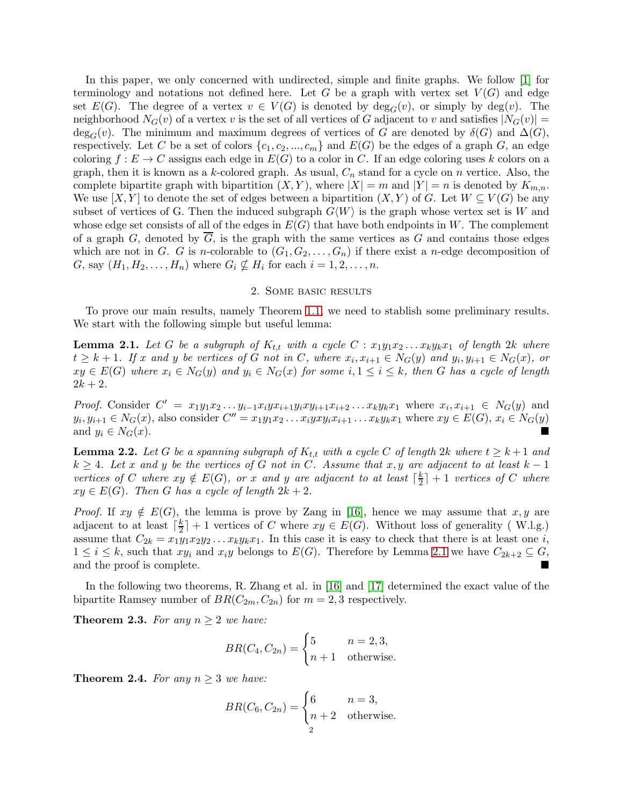In this paper, we only concerned with undirected, simple and finite graphs. We follow [\[1\]](#page-11-13) for terminology and notations not defined here. Let G be a graph with vertex set  $V(G)$  and edge set  $E(G)$ . The degree of a vertex  $v \in V(G)$  is denoted by  $\deg_G(v)$ , or simply by  $\deg(v)$ . The neighborhood  $N_G(v)$  of a vertex v is the set of all vertices of G adjacent to v and satisfies  $|N_G(v)| =$ deg<sub>G</sub>(v). The minimum and maximum degrees of vertices of G are denoted by  $\delta(G)$  and  $\Delta(G)$ , respectively. Let C be a set of colors  $\{c_1, c_2, ..., c_m\}$  and  $E(G)$  be the edges of a graph G, an edge coloring  $f : E \to C$  assigns each edge in  $E(G)$  to a color in C. If an edge coloring uses k colors on a graph, then it is known as a k-colored graph. As usual,  $C_n$  stand for a cycle on n vertice. Also, the complete bipartite graph with bipartition  $(X, Y)$ , where  $|X| = m$  and  $|Y| = n$  is denoted by  $K_{m,n}$ . We use  $[X, Y]$  to denote the set of edges between a bipartition  $(X, Y)$  of G. Let  $W \subseteq V(G)$  be any subset of vertices of G. Then the induced subgraph  $G\langle W \rangle$  is the graph whose vertex set is W and whose edge set consists of all of the edges in  $E(G)$  that have both endpoints in W. The complement of a graph  $G$ , denoted by  $G$ , is the graph with the same vertices as  $G$  and contains those edges which are not in G. G is n-colorable to  $(G_1, G_2, \ldots, G_n)$  if there exist a n-edge decomposition of  $G$ , say  $(H_1, H_2, \ldots, H_n)$  where  $G_i \nsubseteq H_i$  for each  $i = 1, 2, \ldots, n$ .

## 2. Some basic results

To prove our main results, namely Theorem [1.1,](#page-0-0) we need to stablish some preliminary results. We start with the following simple but useful lemma:

<span id="page-1-0"></span>**Lemma 2.1.** Let G be a subgraph of  $K_{t,t}$  with a cycle  $C: x_1y_1x_2...x_ky_kx_1$  of length 2k where  $t \geq k+1$ . If x and y be vertices of G not in C, where  $x_i, x_{i+1} \in N_G(y)$  and  $y_i, y_{i+1} \in N_G(x)$ , or  $xy \in E(G)$  where  $x_i \in N_G(y)$  and  $y_i \in N_G(x)$  for some  $i, 1 \le i \le k$ , then G has a cycle of length  $2k + 2.$ 

*Proof.* Consider  $C' = x_1y_1x_2...y_{i-1}x_iyx_{i+1}y_ixy_{i+1}x_{i+2}...x_ky_kx_1$  where  $x_i, x_{i+1} \in N_G(y)$  and  $y_i, y_{i+1} \in N_G(x)$ , also consider  $C'' = x_1y_1x_2 \ldots x_i yxy_ix_{i+1} \ldots x_ky_kx_1$  where  $xy \in E(G)$ ,  $x_i \in N_G(y)$ and  $y_i \in N_G(x)$ .

<span id="page-1-1"></span>**Lemma 2.2.** Let G be a spanning subgraph of  $K_{t,t}$  with a cycle C of length 2k where  $t \geq k+1$  and  $k \geq 4$ *. Let* x and y be the vertices of G not in C. Assume that x, y are adjacent to at least  $k-1$ *vertices of* C *where*  $xy \notin E(G)$ *, or* x *and* y are adjacent to at least  $\lceil \frac{k}{2} \rceil$  $\frac{k}{2}$  | + 1 *vertices of* C *where*  $xy \in E(G)$ *. Then* G has a cycle of length  $2k + 2$ *.* 

*Proof.* If  $xy \notin E(G)$ , the lemma is prove by Zang in [\[16\]](#page-12-1), hence we may assume that x, y are adjacent to at least  $\lceil \frac{k}{2} \rceil$  $\frac{k}{2}$  + 1 vertices of C where  $xy \in E(G)$ . Without loss of generality (W.l.g.) assume that  $C_{2k} = x_1y_1x_2y_2...x_ky_kx_1$ . In this case it is easy to check that there is at least one *i*,  $1 \leq i \leq k$ , such that  $xy_i$  and  $x_iy$  belongs to  $E(G)$ . Therefore by Lemma [2.1](#page-1-0) we have  $C_{2k+2} \subseteq G$ , and the proof is complete.

In the following two theorems, R. Zhang et al. in [\[16\]](#page-12-1) and [\[17\]](#page-12-2) determined the exact value of the bipartite Ramsey number of  $BR(C_{2m}, C_{2n})$  for  $m = 2, 3$  respectively.

**Theorem 2.3.** For any  $n \geq 2$  we have:

$$
BR(C_4, C_{2n}) = \begin{cases} 5 & n = 2, 3, \\ n+1 & \text{otherwise.} \end{cases}
$$

**Theorem 2.4.** For any  $n > 3$  we have:

$$
BR(C_6, C_{2n}) = \begin{cases} 6 & n = 3, \\ n+2 & \text{otherwise.} \end{cases}
$$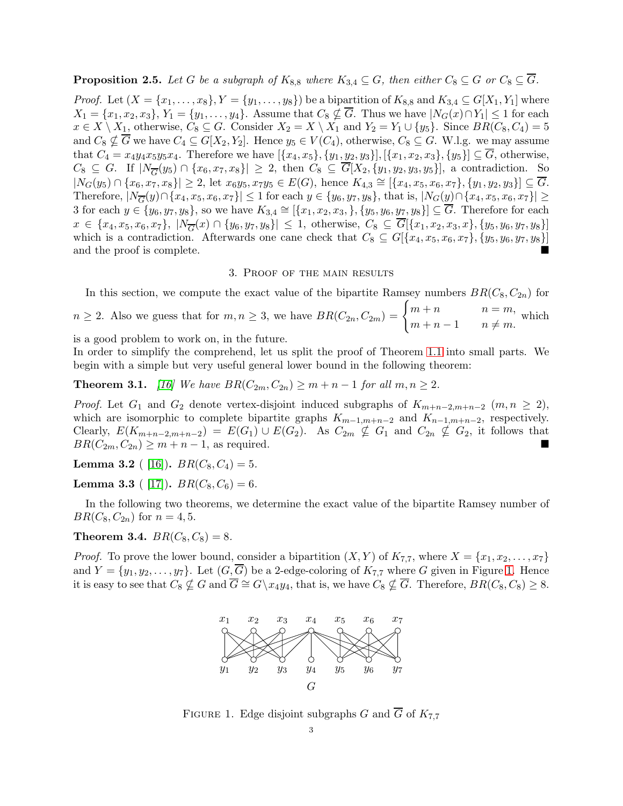# <span id="page-2-1"></span>**Proposition 2.5.** *Let* G *be a subgraph of*  $K_{8,8}$  *where*  $K_{3,4} \subseteq G$ *, then either*  $C_8 \subseteq G$  *or*  $C_8 \subseteq \overline{G}$ *.*

*Proof.* Let  $(X = \{x_1, \ldots, x_8\}, Y = \{y_1, \ldots, y_8\})$  be a bipartition of  $K_{8,8}$  and  $K_{3,4} \subseteq G[X_1, Y_1]$  where  $X_1 = \{x_1, x_2, x_3\}, Y_1 = \{y_1, \ldots, y_4\}.$  Assume that  $C_8 \nsubseteq \overline{G}$ . Thus we have  $|N_G(x) \cap Y_1| \leq 1$  for each  $x \in X \setminus X_1$ , otherwise,  $C_8 \subseteq G$ . Consider  $X_2 = X \setminus X_1$  and  $Y_2 = Y_1 \cup \{y_5\}$ . Since  $BR(C_8, C_4) = 5$ and  $C_8 \nsubseteq \overline{G}$  we have  $C_4 \subseteq G[X_2, Y_2]$ . Hence  $y_5 \in V(C_4)$ , otherwise,  $C_8 \subseteq G$ . W.l.g. we may assume that  $C_4 = x_4y_4x_5y_5x_4$ . Therefore we have  $[\{x_4, x_5\}, \{y_1, y_2, y_3\}], [\{x_1, x_2, x_3\}, \{y_5\}] \subseteq \overline{G}$ , otherwise,  $C_8 \subseteq G$ . If  $|N_{\overline{G}}(y_5) \cap \{x_6, x_7, x_8\}| \geq 2$ , then  $C_8 \subseteq G[X_2, \{y_1, y_2, y_3, y_5\}],$  a contradiction. So  $|N_G(y_5) \cap \{x_6, x_7, x_8\}| \geq 2$ , let  $x_6y_5, x_7y_5 \in E(G)$ , hence  $K_{4,3} \cong [\{x_4, x_5, x_6, x_7\}, \{y_1, y_2, y_3\}] \subseteq \overline{G}$ . Therefore,  $|N_{\overline{G}}(y) \cap \{x_4, x_5, x_6, x_7\}| \le 1$  for each  $y \in \{y_6, y_7, y_8\}$ , that is,  $|N_G(y) \cap \{x_4, x_5, x_6, x_7\}| \ge$ 3 for each  $y \in \{y_6, y_7, y_8\}$ , so we have  $K_{3,4} \cong [\{x_1, x_2, x_3, \}, \{y_5, y_6, y_7, y_8\}] \subseteq \overline{G}$ . Therefore for each  $x \in \{x_4, x_5, x_6, x_7\}, |N_{\overline{G}}(x) \cap \{y_6, y_7, y_8\}| \leq 1$ , otherwise,  $C_8 \subseteq G[\{x_1, x_2, x_3, x\}, \{y_5, y_6, y_7, y_8\}]$ which is a contradiction. Afterwards one cane check that  $C_8 \subseteq G[\{x_4, x_5, x_6, x_7\}, \{y_5, y_6, y_7, y_8\}]$ and the proof is complete.

### 3. Proof of the main results

In this section, we compute the exact value of the bipartite Ramsey numbers  $BR(C_8, C_{2n})$  for

 $n \geq 2$ . Also we guess that for  $m, n \geq 3$ , we have  $BR(C_{2n}, C_{2m}) = \begin{cases} m+n & n = m, \\ 1 & n = 1 \end{cases}$  $m + n - 1$   $n \neq m$ . which is a good problem to work on, in the future.

In order to simplify the comprehend, let us split the proof of Theorem [1.1](#page-0-0) into small parts. We begin with a simple but very useful general lower bound in the following theorem:

<span id="page-2-2"></span>**Theorem 3.1.** *[\[16\]](#page-12-1) We have*  $BR(C_{2m}, C_{2n}) \geq m + n - 1$  *for all*  $m, n \geq 2$ *.* 

*Proof.* Let  $G_1$  and  $G_2$  denote vertex-disjoint induced subgraphs of  $K_{m+n-2,m+n-2}$   $(m, n \geq 2)$ , which are isomorphic to complete bipartite graphs  $K_{m-1,m+n-2}$  and  $K_{n-1,m+n-2}$ , respectively. Clearly,  $E(K_{m+n-2,m+n-2}) = E(G_1) \cup E(G_2)$ . As  $C_{2m} \nsubseteq G_1$  and  $C_{2n} \nsubseteq G_2$ , it follows that  $BR(C_{2m}, C_{2n}) \geq m+n-1$ , as required.

<span id="page-2-3"></span>**Lemma 3.2** ( [\[16\]](#page-12-1)).  $BR(C_8, C_4) = 5$ .

<span id="page-2-4"></span>**Lemma 3.3** ( [\[17\]](#page-12-2)).  $BR(C_8, C_6) = 6$ .

In the following two theorems, we determine the exact value of the bipartite Ramsey number of  $BR(C_8, C_{2n})$  for  $n = 4, 5$ .

## <span id="page-2-5"></span>**Theorem 3.4.**  $BR(C_8, C_8) = 8$ .

*Proof.* To prove the lower bound, consider a bipartition  $(X, Y)$  of  $K_{7,7}$ , where  $X = \{x_1, x_2, \ldots, x_7\}$ and  $Y = \{y_1, y_2, \ldots, y_7\}$ . Let  $(G, \overline{G})$  be a 2-edge-coloring of  $K_{7,7}$  where G given in Figure [1.](#page-2-0) Hence it is easy to see that  $C_8 \nsubseteq G$  and  $\overline{G} \cong G\backslash x_4y_4$ , that is, we have  $C_8 \nsubseteq \overline{G}$ . Therefore,  $BR(C_8, C_8) \geq 8$ .



<span id="page-2-0"></span>FIGURE 1. Edge disjoint subgraphs G and  $\overline{G}$  of  $K_{7,7}$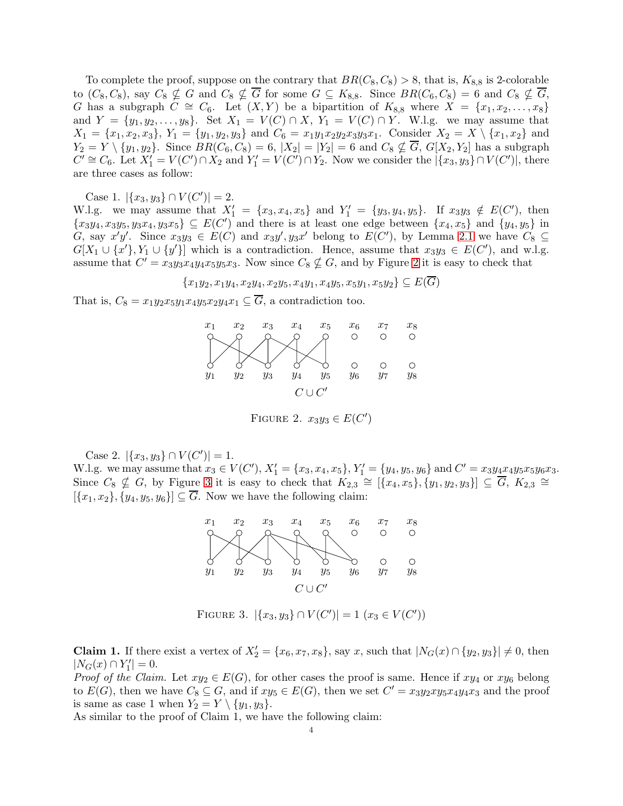To complete the proof, suppose on the contrary that  $BR(C_8, C_8) > 8$ , that is,  $K_{8,8}$  is 2-colorable to  $(C_8, C_8)$ , say  $C_8 \nsubseteq G$  and  $C_8 \nsubseteq \overline{G}$  for some  $G \subseteq K_{8,8}$ . Since  $BR(C_6, C_8) = 6$  and  $C_8 \nsubseteq \overline{G}$ , G has a subgraph  $C \cong C_6$ . Let  $(X, Y)$  be a bipartition of  $K_{8,8}$  where  $X = \{x_1, x_2, \ldots, x_8\}$ and  $Y = \{y_1, y_2, \ldots, y_8\}$ . Set  $X_1 = V(C) \cap X$ ,  $Y_1 = V(C) \cap Y$ . W.l.g. we may assume that  $X_1 = \{x_1, x_2, x_3\}, Y_1 = \{y_1, y_2, y_3\}$  and  $C_6 = x_1y_1x_2y_2x_3y_3x_1$ . Consider  $X_2 = X \setminus \{x_1, x_2\}$  and  $Y_2 = Y \setminus \{y_1, y_2\}$ . Since  $BR(C_6, C_8) = 6$ ,  $|X_2| = |Y_2| = 6$  and  $C_8 \nsubseteq \overline{G}$ ,  $G[X_2, Y_2]$  has a subgraph  $C' \cong C_6$ . Let  $X'_1 = V(C') \cap X_2$  and  $Y'_1 = V(C') \cap Y_2$ . Now we consider the  $|\{x_3, y_3\} \cap V(C')|$ , there are three cases as follow:

Case 1.  $|\{x_3, y_3\} \cap V(C')| = 2$ .

W.l.g. we may assume that  $X'_1 = \{x_3, x_4, x_5\}$  and  $Y'_1 = \{y_3, y_4, y_5\}$ . If  $x_3y_3 \notin E(C')$ , then  ${x_3y_4, x_3y_5, y_3x_4, y_3x_5} \subseteq E(C')$  and there is at least one edge between  ${x_4, x_5}$  and  ${y_4, y_5}$  in  $G$ , say  $x'y'$ . Since  $x_3y_3 \in E(C)$  and  $x_3y', y_3x'$  belong to  $E(C')$ , by Lemma [2.1](#page-1-0) we have  $C_8 \subseteq$  $G[X_1 \cup \{x'\}, Y_1 \cup \{y'\}]$  which is a contradiction. Hence, assume that  $x_3y_3 \in E(C')$ , and w.l.g. assume that  $C' = x_3y_3x_4y_4x_5y_5x_3$ . Now since  $C_8 \nsubseteq G$ , and by Figure [2](#page-3-0) it is easy to check that

 ${x_1y_2, x_1y_4, x_2y_4, x_2y_5, x_4y_1, x_4y_5, x_5y_1, x_5y_2} \subseteq E(\overline{G})$ 

That is,  $C_8 = x_1y_2x_5y_1x_4y_5x_2y_4x_1 \subseteq \overline{G}$ , a contradiction too.



<span id="page-3-0"></span>FIGURE 2.  $x_3y_3 \in E(C')$ 

Case 2.  $|\{x_3, y_3\} \cap V(C')| = 1$ .

W.l.g. we may assume that  $x_3 \in V(C')$ ,  $X'_1 = \{x_3, x_4, x_5\}$ ,  $Y'_1 = \{y_4, y_5, y_6\}$  and  $C' = x_3y_4x_4y_5x_5y_6x_3$ . Since  $C_8 \nsubseteq G$ , by Figure [3](#page-3-1) it is easy to check that  $K_{2,3} \cong [{x_4, x_5}, {y_1, y_2, y_3}] \subseteq \overline{G}$ ,  $K_{2,3} \cong$  $[\{x_1, x_2\}, \{y_4, y_5, y_6\}] \subseteq \overline{G}$ . Now we have the following claim:



<span id="page-3-1"></span>FIGURE 3.  $|\{x_3, y_3\} \cap V(C')| = 1$   $(x_3 \in V(C'))$ 

**Claim 1.** If there exist a vertex of  $X'_2 = \{x_6, x_7, x_8\}$ , say x, such that  $|N_G(x) \cap \{y_2, y_3\}| \neq 0$ , then  $|N_G(x) \cap Y'_1|$  $|T_1'| = 0.$ 

*Proof of the Claim.* Let  $xy_2 \in E(G)$ , for other cases the proof is same. Hence if  $xy_4$  or  $xy_6$  belong to  $E(G)$ , then we have  $C_8 \subseteq G$ , and if  $xy_5 \in E(G)$ , then we set  $C' = x_3y_2xy_5x_4y_4x_3$  and the proof is same as case 1 when  $Y_2 = Y \setminus \{y_1, y_3\}.$ 

As similar to the proof of Claim 1, we have the following claim: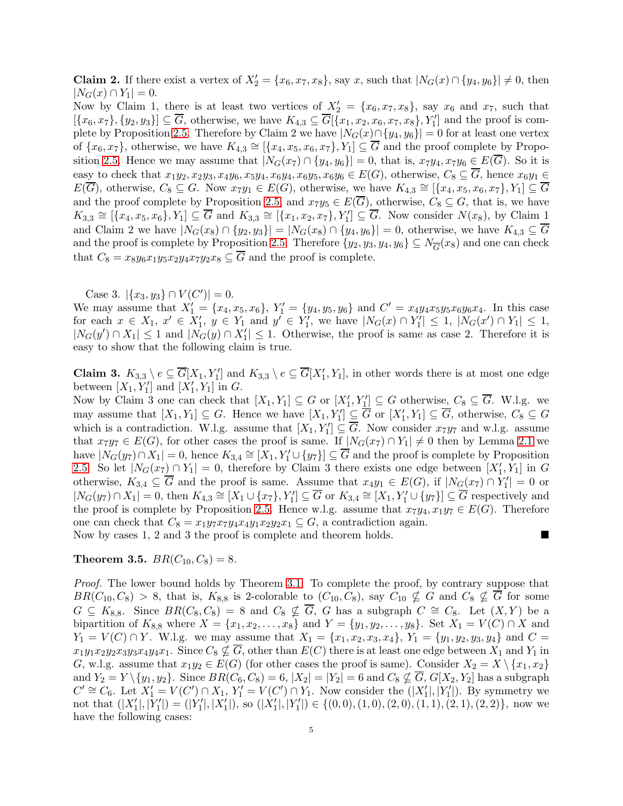**Claim 2.** If there exist a vertex of  $X'_2 = \{x_6, x_7, x_8\}$ , say x, such that  $|N_G(x) \cap \{y_4, y_6\}| \neq 0$ , then  $|N_G(x) \cap Y_1| = 0.$ 

Now by Claim 1, there is at least two vertices of  $X'_2 = \{x_6, x_7, x_8\}$ , say  $x_6$  and  $x_7$ , such that  $[\{x_6, x_7\}, \{y_2, y_3\}] \subseteq \overline{G}$ , otherwise, we have  $K_{4,3} \subseteq \overline{G}[\{x_1, x_2, x_6, x_7, x_8\}, Y_1']$  and the proof is com-plete by Proposition [2.5.](#page-2-1) Therefore by Claim 2 we have  $|N_G(x) \cap {y_4, y_6}| = 0$  for at least one vertex of  $\{x_6, x_7\}$ , otherwise, we have  $K_{4,3} \cong [\{x_4, x_5, x_6, x_7\}, Y_1] \subseteq \overline{G}$  and the proof complete by Propo-sition [2.5.](#page-2-1) Hence we may assume that  $|N_G(x_7) \cap \{y_4, y_6\}| = 0$ , that is,  $x_7y_4, x_7y_6 \in E(\overline{G})$ . So it is easy to check that  $x_1y_2, x_2y_3, x_4y_6, x_5y_4, x_6y_4, x_6y_5, x_6y_6 \in E(G)$ , otherwise,  $C_8 \subseteq \overline{G}$ , hence  $x_6y_1 \in$  $E(\overline{G})$ , otherwise,  $C_8 \subseteq G$ . Now  $x_7y_1 \in E(G)$ , otherwise, we have  $K_{4,3} \cong [\{x_4, x_5, x_6, x_7\}, Y_1] \subseteq \overline{G}$ and the proof complete by Proposition [2.5,](#page-2-1) and  $x_7y_5 \in E(\overline{G})$ , otherwise,  $C_8 \subseteq G$ , that is, we have  $K_{3,3} \cong [\{x_4, x_5, x_6\}, Y_1] \subseteq \overline{G}$  and  $K_{3,3} \cong [\{x_1, x_2, x_7\}, Y_1'] \subseteq \overline{G}$ . Now consider  $N(x_8)$ , by Claim 1 and Claim 2 we have  $|N_G(x_8) \cap \{y_2, y_3\}| = |N_G(x_8) \cap \{y_4, y_6\}| = 0$ , otherwise, we have  $K_{4,3} \subseteq \overline{G}$ and the proof is complete by Proposition [2.5.](#page-2-1) Therefore  $\{y_2, y_3, y_4, y_6\} \subseteq N_{\overline{G}}(x_8)$  and one can check that  $C_8 = x_8y_6x_1y_5x_2y_4x_7y_2x_8 \subseteq \overline{G}$  and the proof is complete.

Case 3.  $|\{x_3, y_3\} \cap V(C')| = 0.$ 

We may assume that  $X'_1 = \{x_4, x_5, x_6\}$ ,  $Y'_1 = \{y_4, y_5, y_6\}$  and  $C' = x_4y_4x_5y_5x_6y_6x_4$ . In this case for each  $x \in X_1, x' \in X'_1, y \in Y_1$  and  $y' \in Y'_1$  $\overline{Y}'_1$ , we have  $|N_G(x) \cap Y'_1|$  $|X_1'| \leq 1, |N_G(x') \cap Y_1| \leq 1,$  $|N_G(y') \cap X_1| \leq 1$  and  $|N_G(y) \cap X'_1| \leq 1$ . Otherwise, the proof is same as case 2. Therefore it is easy to show that the following claim is true.

**Claim 3.**  $K_{3,3} \setminus e \subseteq \overline{G}[X_1, Y_1']$  and  $K_{3,3} \setminus e \subseteq \overline{G}[X_1', Y_1]$ , in other words there is at most one edge between  $[X_1, Y_1']$  and  $[X_1', Y_1]'$  in G.

Now by Claim 3 one can check that  $[X_1, Y_1] \subseteq G$  or  $[X'_1, Y'_1] \subseteq G$  otherwise,  $C_8 \subseteq \overline{G}$ . W.l.g. we may assume that  $[X_1, Y_1] \subseteq G$ . Hence we have  $[X_1, Y_1'] \subseteq \overleftrightarrow{G}$  or  $[X_1', Y_1] \subseteq \overleftrightarrow{G}$ , otherwise,  $C_8 \subseteq G$ which is a contradiction. W.l.g. assume that  $[X_1, Y'_1] \subseteq \overline{G}$ . Now consider  $x_7y_7$  and w.l.g. assume that  $x_7y_7 \in E(G)$ , for other cases the proof is same. If  $|N_G(x_7) \cap Y_1| \neq 0$  then by Lemma [2.1](#page-1-0) we have  $|N_G(y_7) \cap X_1| = 0$ , hence  $K_{3,4} \cong [X_1, Y_1' \cup \{y_7\}] \subseteq \overline{G}$  and the proof is complete by Proposition [2.5.](#page-2-1) So let  $|N_G(x_7) \cap Y_1| = 0$ , therefore by Claim 3 there exists one edge between  $[X'_1, Y_1]$  in G otherwise,  $K_{3,4} \subseteq \overline{G}$  and the proof is same. Assume that  $x_4y_1 \in E(G)$ , if  $|N_G(x_7) \cap Y'_1|$  $|I'| = 0$  or  $|N_G(y_7) \cap X_1| = 0$ , then  $K_{4,3} \cong [X_1 \cup \{x_7\}, Y_1'] \subseteq \overline{G}$  or  $K_{3,4} \cong [X_1, Y_1' \cup \{y_7\}] \subseteq \overline{G}$  respectively and the proof is complete by Proposition [2.5.](#page-2-1) Hence w.l.g. assume that  $x_7y_4, x_1y_7 \in E(G)$ . Therefore one can check that  $C_8 = x_1y_7x_7y_4x_4y_1x_2y_2x_1 \subseteq G$ , a contradiction again. Now by cases 1, 2 and 3 the proof is complete and theorem holds.

<span id="page-4-0"></span>**Theorem 3.5.**  $BR(C_{10}, C_8) = 8$ .

*Proof.* The lower bound holds by Theorem [3.1.](#page-2-2) To complete the proof, by contrary suppose that  $BR(C_{10}, C_8) > 8$ , that is,  $K_{8,8}$  is 2-colorable to  $(C_{10}, C_8)$ , say  $C_{10} \nsubseteq G$  and  $C_8 \nsubseteq G$  for some  $G \subseteq K_{8,8}$ . Since  $BR(C_8, C_8) = 8$  and  $C_8 \nsubseteq \overline{G}$ , G has a subgraph  $C \cong C_8$ . Let  $(X, Y)$  be a bipartition of  $K_{8,8}$  where  $X = \{x_1, x_2, \ldots, x_8\}$  and  $Y = \{y_1, y_2, \ldots, y_8\}$ . Set  $X_1 = V(C) \cap X$  and  $Y_1 = V(C) \cap Y$ . W.l.g. we may assume that  $X_1 = \{x_1, x_2, x_3, x_4\}, Y_1 = \{y_1, y_2, y_3, y_4\}$  and  $C =$  $x_1y_1x_2y_2x_3y_3x_4y_4x_1$ . Since  $C_8 \nsubseteq \overline{G}$ , other than  $E(C)$  there is at least one edge between  $X_1$  and  $Y_1$  in G, w.l.g. assume that  $x_1y_2 \in E(G)$  (for other cases the proof is same). Consider  $X_2 = X \setminus \{x_1, x_2\}$ and  $Y_2 = Y \setminus \{y_1, y_2\}$ . Since  $BR(C_6, C_8) = 6$ ,  $|X_2| = |Y_2| = 6$  and  $C_8 \nsubseteq \overline{G}$ ,  $G[X_2, Y_2]$  has a subgraph  $C' \cong C_6$ . Let  $X'_1 = V(C') \cap X_1, Y'_1 = V(C') \cap Y_1$ . Now consider the  $(|X'_1|, |Y'_1|)$  $\binom{7}{1}$ . By symmetry we not that  $(|X'_1|, |\overline{Y'_1}|)$  $\binom{1}{1} = \binom{1}{1}$  $\binom{1}{1}, \binom{1}{1},$  so  $(\hat{X}'_1), \hat{Y}'_1$  $\{1}'_{1}$  = { $(0,0)$ ,  $(1,0)$ ,  $(2,0)$ ,  $(1,1)$ ,  $(2,1)$ ,  $(2,2)$ }, now we have the following cases: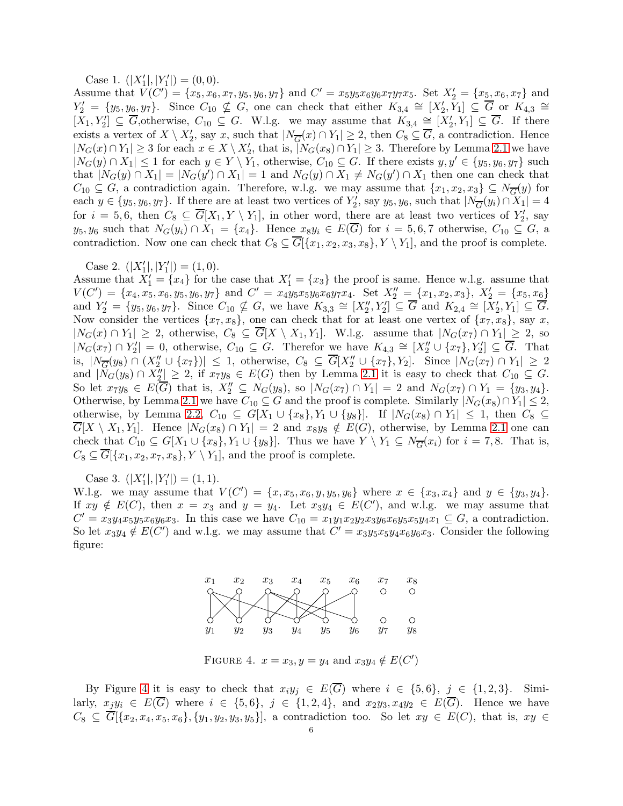Case 1.  $(|X'_1|, |Y'_1|)$  $\binom{7}{1} = (0,0).$ 

Assume that  $V(C') = \{x_5, x_6, x_7, y_5, y_6, y_7\}$  and  $C' = x_5y_5x_6y_6x_7y_7x_5$ . Set  $X'_2 = \{x_5, x_6, x_7\}$  and  $Y'_2 = \{y_5, y_6, y_7\}$ . Since  $C_{10} \nsubseteq G$ , one can check that either  $K_{3,4} \cong [X'_2, Y_1] \subseteq \overline{G}$  or  $K_{4,3} \cong$  $[X_1, Y_2'] \subseteq \overline{G}$ , otherwise,  $C_{10} \subseteq G$ . W.l.g. we may assume that  $K_{3,4} \cong [X_2', Y_1] \subseteq \overline{G}$ . If there exists a vertex of  $X \setminus X'_2$ , say x, such that  $|N_{\overline{G}}(x) \cap Y_1| \geq 2$ , then  $C_8 \subseteq \overline{G}$ , a contradiction. Hence  $|N_G(x) \cap Y_1| \geq 3$  for each  $x \in X \setminus X'_2$ , that is,  $|N_G(x_8) \cap Y_1| \geq 3$ . Therefore by Lemma [2.1](#page-1-0) we have  $|N_G(y) \cap X_1| \leq 1$  for each  $y \in Y \setminus Y_1$ , otherwise,  $C_{10} \subseteq G$ . If there exists  $y, y' \in \{y_5, y_6, y_7\}$  such that  $|N_G(y) \cap X_1| = |N_G(y') \cap X_1| = 1$  and  $N_G(y) \cap X_1 \neq N_G(y') \cap X_1$  then one can check that  $C_{10} \subseteq G$ , a contradiction again. Therefore, w.l.g. we may assume that  $\{x_1, x_2, x_3\} \subseteq N_{\overline{G}}(y)$  for each  $y \in \{y_5, y_6, y_7\}$ . If there are at least two vertices of  $Y_2'$  $Z'_2$ , say  $y_5, y_6$ , such that  $|N_{\overline{G}}(y_i) \cap X_1| = 4$ for  $i = 5, 6$ , then  $C_8 \subseteq \overline{G}[X_1, Y \setminus Y_1]$ , in other word, there are at least two vertices of  $Y_2'$  $2'$ , say  $y_5, y_6$  such that  $N_G(y_i) \cap X_1 = \{x_4\}$ . Hence  $x_8y_i \in E(\overline{G})$  for  $i = 5, 6, 7$  otherwise,  $C_{10} \subseteq G$ , a contradiction. Now one can check that  $C_8 \subseteq \overline{G}[\{x_1, x_2, x_3, x_8\}, Y \setminus Y_1]$ , and the proof is complete.

Case 2.  $(|X'_1|, |Y'_1|)$  $\binom{7}{1} = (1,0).$ 

Assume that  $X'_1 = \{x_4\}$  for the case that  $X'_1 = \{x_3\}$  the proof is same. Hence w.l.g. assume that  $V(C') = \{x_4, x_5, x_6, y_5, y_6, y_7\}$  and  $C' = x_4y_5x_5y_6x_6y_7x_4$ . Set  $X''_2 = \{x_1, x_2, x_3\}$ ,  $X'_2 = \{x_5, x_6\}$ and  $Y_2' = \{y_5, y_6, y_7\}$ . Since  $C_{10} \not\subseteq G$ , we have  $K_{3,3} \cong [X_2'', Y_2'] \subseteq \overline{G}$  and  $K_{2,4} \cong [X_2', Y_1] \subseteq \overline{G}$ . Now consider the vertices  $\{x_7, x_8\}$ , one can check that for at least one vertex of  $\{x_7, x_8\}$ , say x,  $|N_G(x) \cap Y_1| \geq 2$ , otherwise,  $C_8 \subseteq \overline{G}[X \setminus X_1, Y_1]$ . W.l.g. assume that  $|N_G(x_7) \cap Y_1| \geq 2$ , so  $|N_G(x_7) \cap Y'_2|$  $Z_2' = 0$ , otherwise,  $C_{10} \subseteq G$ . Therefor we have  $K_{4,3} \cong [X_2'' \cup \{x_7\}, Y_2'] \subseteq \overline{G}$ . That is,  $|N_{\overline{G}}(y_8) \cap (X''_2 \cup \{x_7\})|$  ≤ 1, otherwise,  $C_8 \subseteq \overline{G}[X''_2 \cup \{x_7\}, Y_2]$ . Since  $|N_G(x_7) \cap Y_1|$  ≥ 2 and  $|N_G(y_8) \cap X_2''| \geq 2$ , if  $x_7y_8 \in E(G)$  then by Lemma [2.1](#page-1-0) it is easy to check that  $C_{10} \subseteq G$ . So let  $x_7y_8 \in E(G)$  that is,  $X''_2 \subseteq N_G(y_8)$ , so  $|N_G(x_7) \cap Y_1| = 2$  and  $N_G(x_7) \cap Y_1 = \{y_3, y_4\}.$ Otherwise, by Lemma [2.1](#page-1-0) we have  $C_{10} \subseteq G$  and the proof is complete. Similarly  $|N_G(x_8) \cap Y_1| \leq 2$ , otherwise, by Lemma [2.2,](#page-1-1)  $C_{10} \subseteq G[X_1 \cup \{x_8\}, Y_1 \cup \{y_8\}].$  If  $|N_G(x_8) \cap Y_1| \leq 1$ , then  $C_8 \subseteq$  $\overline{G}[X \setminus X_1, Y_1].$  Hence  $|N_G(x_8) \cap Y_1| = 2$  and  $x_8y_8 \notin E(G)$ , otherwise, by Lemma [2.1](#page-1-0) one can check that  $C_{10} \subseteq G[X_1 \cup \{x_8\}, Y_1 \cup \{y_8\}].$  Thus we have  $Y \setminus Y_1 \subseteq N_{\overline{G}}(x_i)$  for  $i = 7, 8$ . That is,  $C_8 \subseteq \overline{G}[\{x_1, x_2, x_7, x_8\}, Y \setminus Y_1]$ , and the proof is complete.

Case 3.  $(|X'_1|, |Y'_1|)$  $\binom{7}{1} = (1,1).$ 

W.l.g. we may assume that  $V(C') = \{x, x_5, x_6, y, y_5, y_6\}$  where  $x \in \{x_3, x_4\}$  and  $y \in \{y_3, y_4\}$ . If  $xy \notin E(C)$ , then  $x = x_3$  and  $y = y_4$ . Let  $x_3y_4 \in E(C')$ , and w.l.g. we may assume that  $C' = x_3y_4x_5y_5x_6y_6x_3$ . In this case we have  $C_{10} = x_1y_1x_2y_2x_3y_6x_6y_5x_5y_4x_1 \subseteq G$ , a contradiction. So let  $x_3y_4 \notin E(C')$  and w.l.g. we may assume that  $C' = x_3y_5x_5y_4x_6y_6x_3$ . Consider the following figure:



<span id="page-5-0"></span>FIGURE 4.  $x = x_3, y = y_4$  and  $x_3y_4 \notin E(C')$ 

By Figure [4](#page-5-0) it is easy to check that  $x_iy_j \in E(\overline{G})$  where  $i \in \{5,6\}, j \in \{1,2,3\}.$  Similarly,  $x_jy_i \in E(\overline{G})$  where  $i \in \{5,6\}$ ,  $j \in \{1,2,4\}$ , and  $x_2y_3, x_4y_2 \in E(\overline{G})$ . Hence we have  $C_8 \subseteq \overline{G}[\{x_2, x_4, x_5, x_6\}, \{y_1, y_2, y_3, y_5\}],$  a contradiction too. So let  $xy \in E(C)$ , that is,  $xy \in$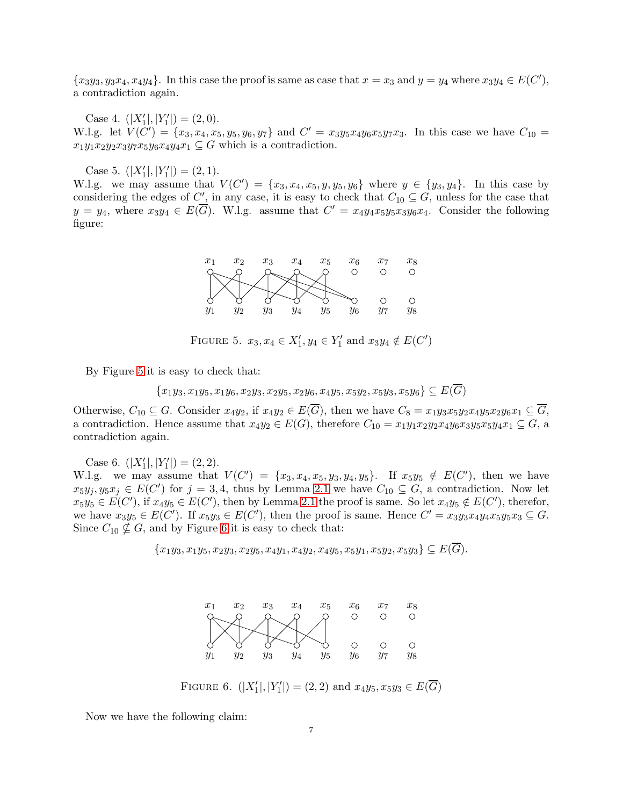${x_3y_3, y_3x_4, x_4y_4}.$  In this case the proof is same as case that  $x = x_3$  and  $y = y_4$  where  $x_3y_4 \in E(C')$ , a contradiction again.

Case 4.  $(|X'_1|, |Y'_1|)$  $\binom{7}{1} = (2,0).$ 

W.l.g. let  $V(C') = \{x_3, x_4, x_5, y_5, y_6, y_7\}$  and  $C' = x_3y_5x_4y_6x_5y_7x_3$ . In this case we have  $C_{10} =$  $x_1y_1x_2y_2x_3y_7x_5y_6x_4y_4x_1 \subseteq G$  which is a contradiction.

Case 5.  $(|X'_1|, |Y'_1|)$  $\binom{7}{1} = (2,1).$ 

W.l.g. we may assume that  $V(C') = \{x_3, x_4, x_5, y, y_5, y_6\}$  where  $y \in \{y_3, y_4\}$ . In this case by considering the edges of C', in any case, it is easy to check that  $C_{10} \subseteq G$ , unless for the case that  $y = y_4$ , where  $x_3y_4 \in E(\overline{G})$ . W.l.g. assume that  $C' = x_4y_4x_5y_5x_3y_6x_4$ . Consider the following figure:



<span id="page-6-0"></span>FIGURE 5.  $x_3, x_4 \in X'_1, y_4 \in Y'_1$  $T_1'$  and  $x_3y_4 \notin E(C')$ 

By Figure [5](#page-6-0) it is easy to check that:

$$
\{x_1y_3, x_1y_5, x_1y_6, x_2y_3, x_2y_5, x_2y_6, x_4y_5, x_5y_2, x_5y_3, x_5y_6\} \subseteq E(G)
$$

Otherwise,  $C_{10} \subseteq G$ . Consider  $x_4y_2$ , if  $x_4y_2 \in E(\overline{G})$ , then we have  $C_8 = x_1y_3x_5y_2x_4y_5x_2y_6x_1 \subseteq \overline{G}$ , a contradiction. Hence assume that  $x_4y_2 \in E(G)$ , therefore  $C_{10} = x_1y_1x_2y_2x_4y_6x_3y_5x_5y_4x_1 \subseteq G$ , a contradiction again.

Case 6.  $(|X'_1|, |Y'_1|)$  $\binom{7}{1} = (2, 2).$ 

W.l.g. we may assume that  $V(C') = \{x_3, x_4, x_5, y_3, y_4, y_5\}$ . If  $x_5y_5 \notin E(C')$ , then we have  $x_5y_j, y_5x_j \in E(C')$  for  $j=3,4$ , thus by Lemma [2.1](#page-1-0) we have  $C_{10} \subseteq G$ , a contradiction. Now let  $x_5y_5 \in E(C')$ , if  $x_4y_5 \in E(C')$ , then by Lemma [2.1](#page-1-0) the proof is same. So let  $x_4y_5 \notin E(C')$ , therefor, we have  $x_3y_5 \in E(C')$ . If  $x_5y_3 \in E(C')$ , then the proof is same. Hence  $C' = x_3y_3x_4y_4x_5y_5x_3 \subseteq G$ . Since  $C_{10} \nsubseteq G$ , and by Figure [6](#page-6-1) it is easy to check that:

 ${x_1y_3, x_1y_5, x_2y_3, x_2y_5, x_4y_1, x_4y_2, x_4y_5, x_5y_1, x_5y_2, x_5y_3} \subseteq E(\overline{G}).$ 



<span id="page-6-1"></span>FIGURE 6.  $(|X'_1|, |Y'_1|)$  $T_1'|$  =  $(2,2)$  and  $x_4y_5, x_5y_3 \in E(G)$ 

Now we have the following claim: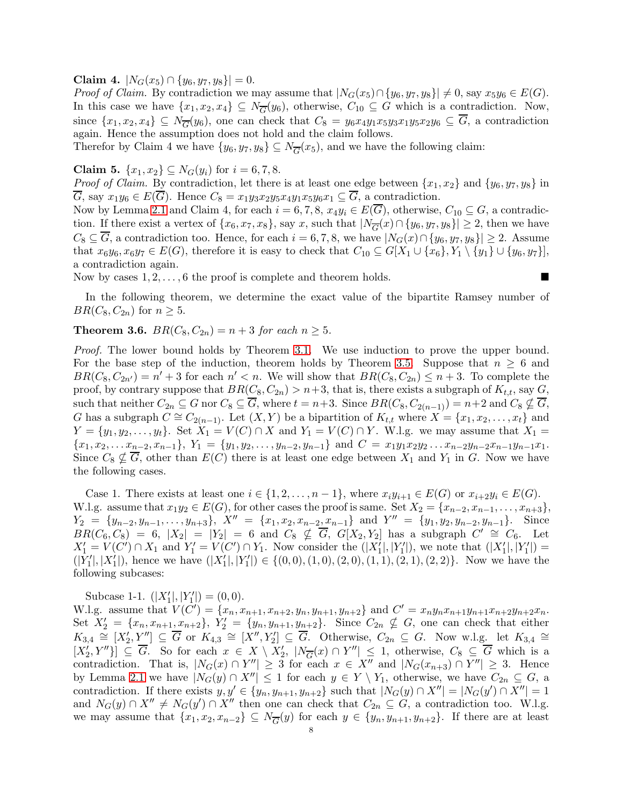Claim 4.  $|N_G(x_5) \cap \{y_6, y_7, y_8\}| = 0.$ 

*Proof of Claim.* By contradiction we may assume that  $|N_G(x_5) \cap \{y_6, y_7, y_8\}| \neq 0$ , say  $x_5y_6 \in E(G)$ . In this case we have  $\{x_1, x_2, x_4\} \subseteq N_{\overline{G}}(y_6)$ , otherwise,  $C_{10} \subseteq G$  which is a contradiction. Now, since  $\{x_1, x_2, x_4\} \subseteq N_{\overline{G}}(y_6)$ , one can check that  $C_8 = y_6x_4y_1x_5y_3x_1y_5x_2y_6 \subseteq G$ , a contradiction again. Hence the assumption does not hold and the claim follows.

Therefor by Claim 4 we have  $\{y_6, y_7, y_8\} \subseteq N_{\overline{G}}(x_5)$ , and we have the following claim:

## **Claim 5.**  $\{x_1, x_2\} \subseteq N_G(y_i)$  for  $i = 6, 7, 8$ .

*Proof of Claim.* By contradiction, let there is at least one edge between  $\{x_1, x_2\}$  and  $\{y_6, y_7, y_8\}$  in  $\overline{G}$ , say  $x_1y_6 \in E(\overline{G})$ . Hence  $C_8 = x_1y_3x_2y_5x_4y_1x_5y_6x_1 \subseteq \overline{G}$ , a contradiction.

Now by Lemma [2.1](#page-1-0) and Claim 4, for each  $i = 6, 7, 8, x_4y_i \in E(\overline{G})$ , otherwise,  $C_{10} \subseteq G$ , a contradiction. If there exist a vertex of  $\{x_6, x_7, x_8\}$ , say x, such that  $|N_{\overline{G}}(x) \cap \{y_6, y_7, y_8\}| \ge 2$ , then we have  $C_8 \subseteq \overline{G}$ , a contradiction too. Hence, for each  $i = 6, 7, 8$ , we have  $|N_G(x) \cap \{y_6, y_7, y_8\}| \geq 2$ . Assume that  $x_6y_6, x_6y_7 \in E(G)$ , therefore it is easy to check that  $C_{10} \subseteq G[X_1 \cup \{x_6\}, Y_1 \setminus \{y_1\} \cup \{y_6, y_7\}],$ a contradiction again.

Now by cases  $1, 2, \ldots, 6$  the proof is complete and theorem holds.

In the following theorem, we determine the exact value of the bipartite Ramsey number of  $BR(C_8, C_{2n})$  for  $n \geq 5$ .

# <span id="page-7-0"></span>**Theorem 3.6.**  $BR(C_8, C_{2n}) = n + 3$  *for each*  $n > 5$ *.*

*Proof.* The lower bound holds by Theorem [3.1.](#page-2-2) We use induction to prove the upper bound. For the base step of the induction, theorem holds by Theorem [3.5.](#page-4-0) Suppose that  $n \geq 6$  and  $BR(C_8, C_{2n'}) = n' + 3$  for each  $n' < n$ . We will show that  $BR(C_8, C_{2n}) \leq n + 3$ . To complete the proof, by contrary suppose that  $BR(C_8, C_{2n}) > n+3$ , that is, there exists a subgraph of  $K_{t,t}$ , say  $G$ , such that neither  $C_{2n} \subseteq G$  nor  $C_8 \subseteq \overline{G}$ , where  $t = n+3$ . Since  $BR(C_8, C_{2(n-1)}) = n+2$  and  $C_8 \nsubseteq \overline{G}$ , G has a subgraph  $C \cong C_{2(n-1)}$ . Let  $(X, Y)$  be a bipartition of  $K_{t,t}$  where  $X = \{x_1, x_2, \ldots, x_t\}$  and  $Y = \{y_1, y_2, \ldots, y_t\}$ . Set  $X_1 = V(C) \cap X$  and  $Y_1 = V(C) \cap Y$ . W.l.g. we may assume that  $X_1 =$  ${x_1, x_2, \ldots x_{n-2}, x_{n-1}}, Y_1 = {y_1, y_2, \ldots, y_{n-2}, y_{n-1}}$  and  $C = x_1y_1x_2y_2 \ldots x_{n-2}y_{n-2}x_{n-1}y_{n-1}x_1$ . Since  $C_8 \nsubseteq \overline{G}$ , other than  $E(C)$  there is at least one edge between  $X_1$  and  $Y_1$  in G. Now we have the following cases.

Case 1. There exists at least one  $i \in \{1, 2, \ldots, n-1\}$ , where  $x_i y_{i+1} \in E(G)$  or  $x_{i+2} y_i \in E(G)$ . W.l.g. assume that  $x_1y_2 \in E(G)$ , for other cases the proof is same. Set  $X_2 = \{x_{n-2}, x_{n-1}, \ldots, x_{n+3}\},\$  $Y_2 = \{y_{n-2}, y_{n-1}, \ldots, y_{n+3}\}, \quad X'' = \{x_1, x_2, x_{n-2}, x_{n-1}\} \quad \text{and} \quad Y'' = \{y_1, y_2, y_{n-2}, y_{n-1}\}.$  Since  $BR(C_6, C_8) = 6$ ,  $|X_2| = |Y_2| = 6$  and  $C_8 \nsubseteq \overline{G}$ ,  $G[X_2, Y_2]$  has a subgraph  $C' \cong C_6$ . Let  $X'_1 = V(C') \cap X_1$  and  $Y'_1 = V(C') \cap Y_1$ . Now consider the  $(|X'_1|, |Y'_1|)$  $( |X'_1|, |Y'_1| )$ , we note that  $(|X'_1|, |Y'_1| )$  $\binom{7}{1}$  =  $(|\dot{Y}_1'|$  $\mathbb{E}_{1}^{'}|,|X_{1}^{'}|,$  hence we have  $(|X_{1}^{'}|,|Y_{1}^{'}|)$  $\{1}'_{1}$   $\} \in \{ (0,0), (1,0), (2,0), (1,1), (2,1), (2,2) \}.$  Now we have the following subcases:

Subcase 1-1.  $(|X'_1|, |Y'_1|)$  $\binom{7}{1} = (0,0).$ 

W.l.g. assume that  $V(C') = \{x_n, x_{n+1}, x_{n+2}, y_n, y_{n+1}, y_{n+2}\}$  and  $C' = x_n y_n x_{n+1} y_{n+1} x_{n+2} y_{n+2} x_n$ . Set  $X'_2 = \{x_n, x_{n+1}, x_{n+2}\}, Y'_2 = \{y_n, y_{n+1}, y_{n+2}\}.$  Since  $C_{2n} \nsubseteq G$ , one can check that either  $K_{3,4} \cong [X'_2, Y''] \subseteq \overline{G}$  or  $K_{4,3} \cong [X'', Y'_2] \subseteq \overline{G}$ . Otherwise,  $C_{2n} \subseteq G$ . Now w.l.g. let  $K_{3,4} \cong$  $[X'_2, Y''] \subseteq \overline{G}$ . So for each  $x \in X \setminus X'_2$ ,  $|N_{\overline{G}}(x) \cap Y''| \le 1$ , otherwise,  $C_8 \subseteq \overline{G}$  which is a contradiction. That is,  $|N_G(x) \cap Y''| \geq 3$  for each  $x \in X''$  and  $|N_G(x_{n+3}) \cap Y''| \geq 3$ . Hence by Lemma [2.1](#page-1-0) we have  $|N_G(y)| \cap X''| \leq 1$  for each  $y \in Y \setminus Y_1$ , otherwise, we have  $C_{2n} \subseteq G$ , a contradiction. If there exists  $y, y' \in \{y_n, y_{n+1}, y_{n+2}\}$  such that  $|N_G(y) \cap X''| = |N_G(y') \cap X''| = 1$ and  $N_G(y) \cap X'' \neq N_G(y') \cap X''$  then one can check that  $C_{2n} \subseteq G$ , a contradiction too. W.l.g. we may assume that  $\{x_1, x_2, x_{n-2}\} \subseteq N_{\overline{G}}(y)$  for each  $y \in \{y_n, y_{n+1}, y_{n+2}\}$ . If there are at least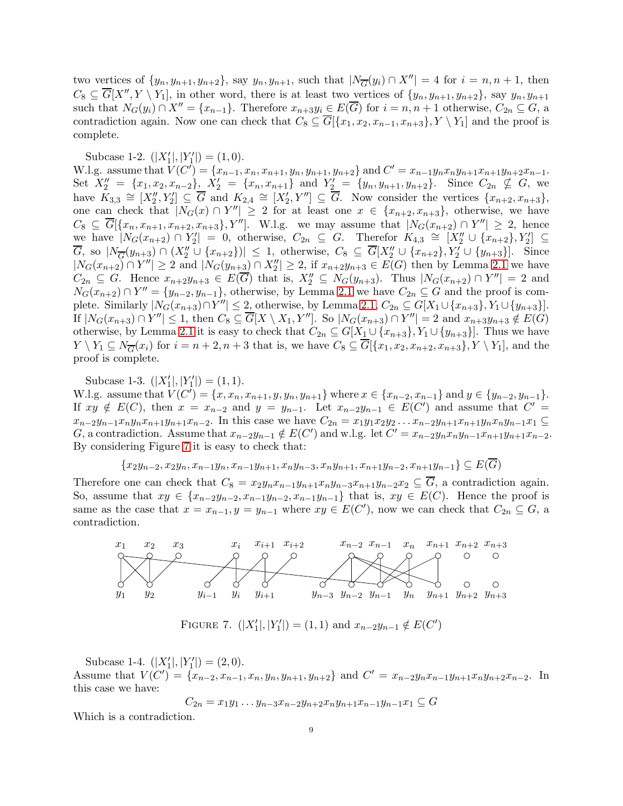two vertices of  $\{y_n, y_{n+1}, y_{n+2}\}$ , say  $y_n, y_{n+1}$ , such that  $|N_{\overline{G}}(y_i) \cap X''| = 4$  for  $i = n, n + 1$ , then  $C_8 \subseteq \overline{G}[X'', Y \setminus Y_1]$ , in other word, there is at least two vertices of  $\{y_n, y_{n+1}, y_{n+2}\}$ , say  $y_n, y_{n+1}$ such that  $N_G(y_i) \cap X'' = \{x_{n-1}\}\.$  Therefore  $x_{n+3}y_i \in E(\overline{G})$  for  $i = n, n+1$  otherwise,  $C_{2n} \subseteq G$ , a contradiction again. Now one can check that  $C_8 \subseteq \overline{G}[\{x_1, x_2, x_{n-1}, x_{n+3}\}, Y \setminus Y_1]$  and the proof is complete.

Subcase 1-2.  $(|X'_1|, |Y'_1|)$  $\binom{7}{1} = (1,0).$ 

W.l.g. assume that  $V(C') = \{x_{n-1}, x_n, x_{n+1}, y_n, y_{n+1}, y_{n+2}\}$  and  $C' = x_{n-1}y_nx_ny_{n+1}x_{n+1}y_{n+2}x_{n-1}$ . Set  $X''_2 = \{x_1, x_2, x_{n-2}\},\ X'_2 = \{x_n, x_{n+1}\}\$  and  $Y'_2 = \{y_n, y_{n+1}, y_{n+2}\}.$  Since  $C_{2n} \nsubseteq G$ , we have  $K_{3,3} \cong [X''_2, Y'_2] \subseteq \overline{G}$  and  $K_{2,4} \cong [X'_2, Y''] \subseteq \overline{G}$ . Now consider the vertices  $\{x_{n+2}, x_{n+3}\},$ one can check that  $|N_G(x) \cap Y''| \geq 2$  for at least one  $x \in \{x_{n+2}, x_{n+3}\}$ , otherwise, we have  $C_8 \subseteq \overline{G}[\{x_n, x_{n+1}, x_{n+2}, x_{n+3}\}, Y'']$ . W.l.g. we may assume that  $|N_G(x_{n+2}) \cap Y''| \geq 2$ , hence we have  $|N_G(x_{n+2}) \cap Y'_2|$  $C_{2n} \subseteq G$ . Therefor  $K_{4,3} \cong [X_2'' \cup \{x_{n+2}\}, Y_2'] \subseteq$  $\overline{G}$ , so  $|N_{\overline{G}}(y_{n+3}) \cap (X_2'' \cup \{x_{n+2}\})| \leq 1$ , otherwise,  $C_8 \subseteq \overline{G}[X_2'' \cup \{x_{n+2}\}, Y_2' \cup \{y_{n+3}\}]$ . Since  $|N_G(x_{n+2}) \cap Y''| \geq 2$  and  $|N_G(y_{n+3}) \cap X''_2| \geq 2$ , if  $x_{n+2}y_{n+3} \in E(G)$  then by Lemma [2.1](#page-1-0) we have  $C_{2n} \subseteq G$ . Hence  $x_{n+2}y_{n+3} \in E(\overline{G})$  that is,  $X''_2 \subseteq N_G(y_{n+3})$ . Thus  $|N_G(x_{n+2}) \cap Y''| = 2$  and  $N_G(x_{n+2}) \cap Y'' = \{y_{n-2}, y_{n-1}\}\,$ , otherwise, by Lemma [2.1](#page-1-0) we have  $C_{2n} \subseteq G$  and the proof is complete. Similarly  $|N_G(x_{n+3}) \cap Y''| \leq 2$ , otherwise, by Lemma [2.1,](#page-1-0)  $C_{2n} \subseteq G[X_1 \cup \{x_{n+3}\}, Y_1 \cup \{y_{n+3}\}]$ . If  $|N_G(x_{n+3}) \cap Y''| \leq 1$ , then  $C_8 \subseteq \overline{G}[X \setminus X_1, Y'']$ . So  $|N_G(x_{n+3}) \cap Y''| = 2$  and  $x_{n+3}y_{n+3} \notin E(G)$ otherwise, by Lemma [2.1](#page-1-0) it is easy to check that  $C_{2n} \subseteq G[X_1 \cup \{x_{n+3}\}, Y_1 \cup \{y_{n+3}\}]$ . Thus we have  $Y \setminus Y_1 \subseteq N_{\overline{G}}(x_i)$  for  $i = n + 2, n + 3$  that is, we have  $C_8 \subseteq G[\{x_1, x_2, x_{n+2}, x_{n+3}\}, Y \setminus Y_1]$ , and the proof is complete.

Subcase 1-3.  $(|X'_1|, |Y'_1|)$  $\binom{7}{1} = (1,1).$ 

W.l.g. assume that  $V(C') = \{x, x_n, x_{n+1}, y, y_n, y_{n+1}\}$  where  $x \in \{x_{n-2}, x_{n-1}\}$  and  $y \in \{y_{n-2}, y_{n-1}\}.$ If  $xy \notin E(C)$ , then  $x = x_{n-2}$  and  $y = y_{n-1}$ . Let  $x_{n-2}y_{n-1} \in E(C')$  and assume that  $C' =$  $x_{n-2}y_{n-1}x_ny_nx_{n+1}y_{n+1}x_{n-2}$ . In this case we have  $C_{2n} = x_1y_1x_2y_2...x_{n-2}y_{n+1}x_{n+1}y_nx_ny_{n-1}x_1 \subseteq$  $G$ , a contradiction. Assume that  $x_{n-2}y_{n-1} \notin E(C')$  and w.l.g. let  $C' = x_{n-2}y_nx_ny_{n-1}x_{n+1}y_{n+1}x_{n-2}$ . By considering Figure [7](#page-8-0) it is easy to check that:

$$
\{x_2y_{n-2}, x_2y_n, x_{n-1}y_n, x_{n-1}y_{n+1}, x_ny_{n-3}, x_ny_{n+1}, x_{n+1}y_{n-2}, x_{n+1}y_{n-1}\} \subseteq E(G)
$$

Therefore one can check that  $C_8 = x_2y_nx_{n-1}y_{n+1}x_ny_{n-3}x_{n+1}y_{n-2}x_2 \subseteq \overline{G}$ , a contradiction again. So, assume that  $xy \in \{x_{n-2}y_{n-2}, x_{n-1}y_{n-2}, x_{n-1}y_{n-1}\}$  that is,  $xy \in E(C)$ . Hence the proof is same as the case that  $x = x_{n-1}, y = y_{n-1}$  where  $xy \in E(C')$ , now we can check that  $C_{2n} \subseteq G$ , a contradiction.



<span id="page-8-0"></span>FIGURE 7.  $(|X'_1|, |Y'_1|)$  $\binom{1}{1} = (1,1)$  and  $x_{n-2}y_{n-1} \notin E(C')$ 

Subcase 1-4.  $(|X'_1|, |Y'_1|)$  $\binom{7}{1} = (2,0).$ Assume that  $V(C') = \{x_{n-2}, x_{n-1}, x_n, y_n, y_{n+1}, y_{n+2}\}$  and  $C' = x_{n-2}y_nx_{n-1}y_{n+1}x_ny_{n+2}x_{n-2}$ . In this case we have:

$$
C_{2n} = x_1y_1 \dots y_{n-3}x_{n-2}y_{n+2}x_ny_{n+1}x_{n-1}y_{n-1}x_1 \subseteq G
$$

Which is a contradiction.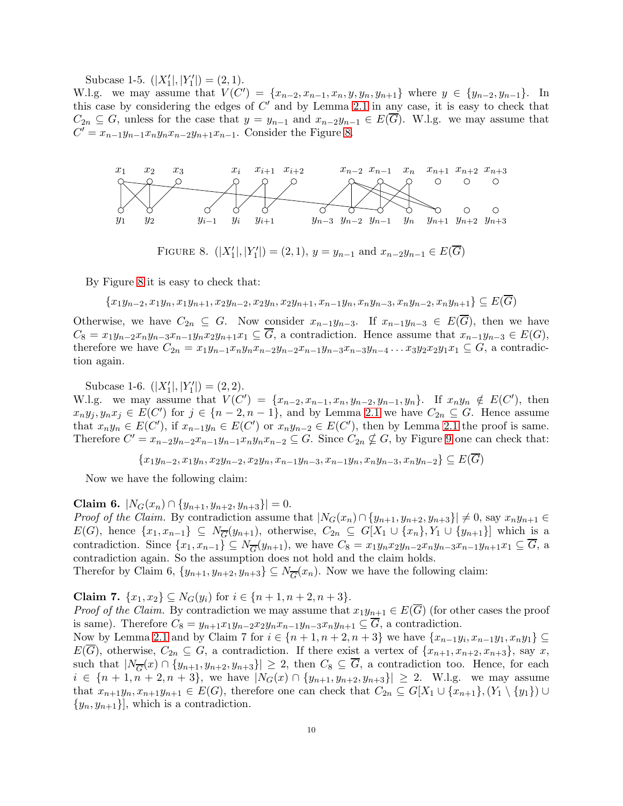Subcase 1-5.  $(|X'_1|, |Y'_1|)$  $\binom{7}{1} = (2,1).$ 

W.l.g. we may assume that  $V(C') = \{x_{n-2}, x_{n-1}, x_n, y, y_n, y_{n+1}\}$  where  $y \in \{y_{n-2}, y_{n-1}\}$ . In this case by considering the edges of  $C'$  and by Lemma [2.1](#page-1-0) in any case, it is easy to check that  $C_{2n} \subseteq G$ , unless for the case that  $y = y_{n-1}$  and  $x_{n-2}y_{n-1} \in E(\overline{G})$ . W.l.g. we may assume that  $C' = x_{n-1}y_{n-1}x_ny_nx_{n-2}y_{n+1}x_{n-1}$ . Consider the Figure [8.](#page-9-0)



<span id="page-9-0"></span>FIGURE 8.  $(|X'_1|, |Y'_1|)$  $X'_1$ |) = (2, 1),  $y = y_{n-1}$  and  $x_{n-2}y_{n-1} \in E(G)$ 

By Figure [8](#page-9-0) it is easy to check that:

 ${x_1y_{n-2}, x_1y_n, x_1y_{n+1}, x_2y_{n-2}, x_2y_n, x_2y_{n+1}, x_{n-1}y_n, x_ny_{n-3}, x_ny_{n-2}, x_ny_{n+1}} \subseteq E(\overline{G})$ 

Otherwise, we have  $C_{2n} \subseteq G$ . Now consider  $x_{n-1}y_{n-3}$ . If  $x_{n-1}y_{n-3} \in E(\overline{G})$ , then we have  $C_8 = x_1y_{n-2}x_ny_{n-3}x_{n-1}y_nx_2y_{n+1}x_1 \subseteq \overline{G}$ , a contradiction. Hence assume that  $x_{n-1}y_{n-3} \in E(G)$ , therefore we have  $C_{2n} = x_1y_{n-1}x_ny_nx_{n-2}y_{n-2}x_{n-1}y_{n-3}x_{n-3}y_{n-4}...x_3y_2x_2y_1x_1 \subseteq G$ , a contradiction again.

Subcase 1-6.  $(|X'_1|, |Y'_1|)$  $\binom{7}{1} = (2, 2).$ 

W.l.g. we may assume that  $V(C') = \{x_{n-2}, x_{n-1}, x_n, y_{n-2}, y_{n-1}, y_n\}$ . If  $x_n y_n \notin E(C')$ , then  $x_n y_j, y_n x_j \in E(C')$  for  $j \in \{n-2, n-1\}$ , and by Lemma [2.1](#page-1-0) we have  $C_{2n} \subseteq G$ . Hence assume that  $x_ny_n \in E(C')$ , if  $x_{n-1}y_n \in E(C')$  or  $x_ny_{n-2} \in E(C')$ , then by Lemma [2.1](#page-1-0) the proof is same. Therefore  $C' = x_{n-2}y_{n-2}x_{n-1}y_{n-1}x_ny_nx_{n-2} \subseteq G$ . Since  $C_{2n} \nsubseteq G$ , by Figure [9](#page-10-0) one can check that:

 ${x_1y_{n-2}, x_1y_n, x_2y_{n-2}, x_2y_n, x_{n-1}y_{n-3}, x_{n-1}y_n, x_ny_{n-3}, x_ny_{n-2}} \subseteq E(\overline{G})$ 

Now we have the following claim:

Claim 6.  $|N_G(x_n) \cap \{y_{n+1}, y_{n+2}, y_{n+3}\}| = 0.$ 

*Proof of the Claim.* By contradiction assume that  $|N_G(x_n) \cap \{y_{n+1}, y_{n+2}, y_{n+3}\}| \neq 0$ , say  $x_n y_{n+1} \in$  $E(G)$ , hence  $\{x_1, x_{n-1}\} \subseteq N_{\overline{G}}(y_{n+1})$ , otherwise,  $C_{2n} \subseteq G[X_1 \cup \{x_n\}, Y_1 \cup \{y_{n+1}\}]$  which is a contradiction. Since  $\{x_1, x_{n-1}\} \subseteq N_{\overline{G}}(y_{n+1})$ , we have  $C_8 = x_1y_nx_2y_{n-2}x_ny_{n-3}x_{n-1}y_{n+1}x_1 \subseteq G$ , a contradiction again. So the assumption does not hold and the claim holds.

Therefor by Claim 6,  $\{y_{n+1}, y_{n+2}, y_{n+3}\} \subseteq N_{\overline{G}}(x_n)$ . Now we have the following claim:

Claim 7.  $\{x_1, x_2\}$  ⊆  $N_G(y_i)$  for  $i \in \{n+1, n+2, n+3\}$ .

*Proof of the Claim.* By contradiction we may assume that  $x_1y_{n+1} \in E(\overline{G})$  (for other cases the proof is same). Therefore  $C_8 = y_{n+1}x_1y_{n-2}x_2y_nx_{n-1}y_{n-3}x_ny_{n+1} \subseteq \overline{G}$ , a contradiction.

Now by Lemma [2.1](#page-1-0) and by Claim 7 for  $i \in \{n+1, n+2, n+3\}$  we have  $\{x_{n-1}y_i, x_{n-1}y_1, x_ny_1\} \subseteq$  $E(\overline{G})$ , otherwise,  $C_{2n} \subseteq G$ , a contradiction. If there exist a vertex of  $\{x_{n+1}, x_{n+2}, x_{n+3}\}$ , say x, such that  $|N_{\overline{G}}(x) \cap \{y_{n+1}, y_{n+2}, y_{n+3}\}| \geq 2$ , then  $C_8 \subseteq G$ , a contradiction too. Hence, for each  $i \in \{n+1, n+2, n+3\}$ , we have  $|N_G(x) \cap \{y_{n+1}, y_{n+2}, y_{n+3}\}| \geq 2$ . W.l.g. we may assume that  $x_{n+1}y_n, x_{n+1}y_{n+1} \in E(G)$ , therefore one can check that  $C_{2n} \subseteq G[X_1 \cup \{x_{n+1}\}, (Y_1 \setminus \{y_1\}) \cup$  $\{y_n, y_{n+1}\}\,$ , which is a contradiction.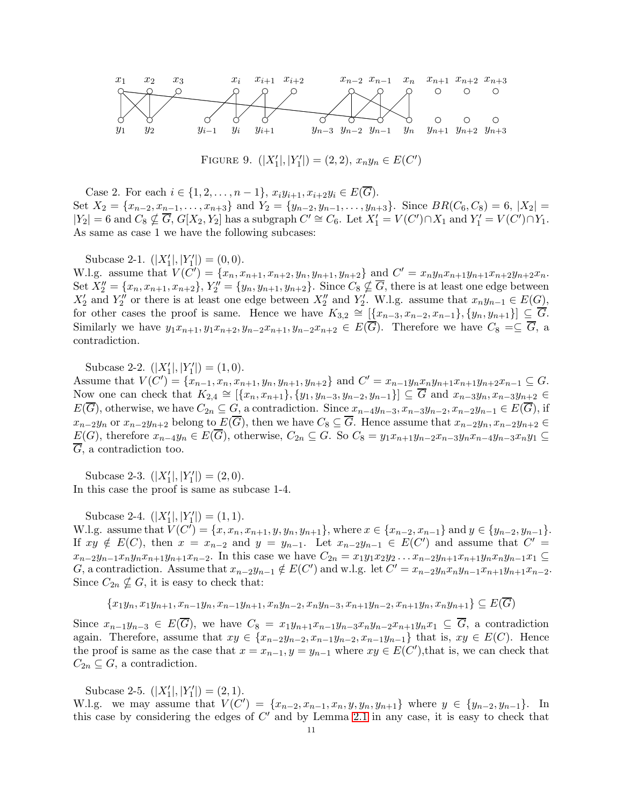

<span id="page-10-0"></span>FIGURE 9.  $(|X'_1|, |Y'_1|)$  $\mathcal{L}'_1$ |) = (2, 2),  $x_n y_n \in E(C')$ 

Case 2. For each  $i \in \{1, 2, ..., n-1\}, x_i y_{i+1}, x_{i+2} y_i \in E(\overline{G}).$ Set  $X_2 = \{x_{n-2}, x_{n-1}, \ldots, x_{n+3}\}\$  and  $Y_2 = \{y_{n-2}, y_{n-1}, \ldots, y_{n+3}\}\$ . Since  $BR(C_6, C_8) = 6$ ,  $|X_2|$  $|Y_2| = 6$  and  $C_8 \nsubseteq \overline{G}$ ,  $G[X_2, Y_2]$  has a subgraph  $C' \cong C_6$ . Let  $X'_1 = V(C') \cap X_1$  and  $Y'_1 = V(C') \cap Y_1$ . As same as case 1 we have the following subcases:

Subcase 2-1.  $(|X'_1|, |Y'_1|)$  $\binom{7}{1} = (0,0).$ 

W.l.g. assume that  $V(C') = \{x_n, x_{n+1}, x_{n+2}, y_n, y_{n+1}, y_{n+2}\}$  and  $C' = x_n y_n x_{n+1} y_{n+1} x_{n+2} y_{n+2} x_n$ . Set  $X''_2 = \{x_n, x_{n+1}, x_{n+2}\}, Y''_2 = \{y_n, y_{n+1}, y_{n+2}\}.$  Since  $C_8 \nsubseteq \overline{G}$ , there is at least one edge between  $X'_2$  and  $Y''_2$  $\overline{Y''_2}$  or there is at least one edge between  $X''_2$  and  $\overline{Y'_2}$  $Z'$ . W.l.g. assume that  $x_n y_{n-1} \in E(G)$ , for other cases the proof is same. Hence we have  $K_{3,2} \cong [\{x_{n-3}, x_{n-2}, x_{n-1}\}, \{y_n, y_{n+1}\}] \subseteq \overline{G}$ . Similarly we have  $y_1x_{n+1}, y_1x_{n+2}, y_{n-2}x_{n+1}, y_{n-2}x_{n+2} \in E(\overline{G})$ . Therefore we have  $C_8 = \subseteq \overline{G}$ , a contradiction.

Subcase 2-2.  $(|X'_1|, |Y'_1|)$  $\binom{7}{1} = (1,0).$ 

Assume that  $V(C') = \{x_{n-1}, x_n, x_{n+1}, y_n, y_{n+1}, y_{n+2}\}$  and  $C' = x_{n-1}y_nx_ny_{n+1}x_{n+1}y_{n+2}x_{n-1} \subseteq G$ . Now one can check that  $K_{2,4} \cong [{x_n,x_{n+1}}, {y_1,y_{n-3},y_{n-2},y_{n-1}}] \subseteq \overline{G}$  and  $x_{n-3}y_n,x_{n-3}y_{n+2} \in$  $E(\overline{G})$ , otherwise, we have  $C_{2n} \subseteq G$ , a contradiction. Since  $x_{n-4}y_{n-3}, x_{n-3}y_{n-2}, x_{n-2}y_{n-1} \in E(\overline{G})$ , if  $x_{n-2}y_n$  or  $x_{n-2}y_{n+2}$  belong to  $E(G)$ , then we have  $C_8 \subseteq G$ . Hence assume that  $x_{n-2}y_n, x_{n-2}y_{n+2} \in$  $E(G)$ , therefore  $x_{n-4}y_n \in E(\overline{G})$ , otherwise,  $C_{2n} \subseteq G$ . So  $C_8 = y_1x_{n+1}y_{n-2}x_{n-3}y_nx_{n-4}y_{n-3}x_ny_1 \subseteq$  $\overline{G}$ , a contradiction too.

Subcase 2-3.  $(|X'_1|, |Y'_1|)$  $\binom{7}{1} = (2,0).$ In this case the proof is same as subcase 1-4.

Subcase 2-4.  $(|X'_1|, |Y'_1|)$  $\binom{7}{1} = (1,1).$ 

W.l.g. assume that  $V(C') = \{x, x_n, x_{n+1}, y, y_n, y_{n+1}\},\$  where  $x \in \{x_{n-2}, x_{n-1}\}\$  and  $y \in \{y_{n-2}, y_{n-1}\}.$ If  $xy \notin E(C)$ , then  $x = x_{n-2}$  and  $y = y_{n-1}$ . Let  $x_{n-2}y_{n-1} \in E(C')$  and assume that  $C' =$  $x_{n-2}y_{n-1}x_ny_nx_{n+1}y_{n+1}x_{n-2}$ . In this case we have  $C_{2n} = x_1y_1x_2y_2...x_{n-2}y_{n+1}x_{n+1}y_nx_ny_{n-1}x_1 \subseteq$  $G$ , a contradiction. Assume that  $x_{n-2}y_{n-1} \notin E(C')$  and w.l.g. let  $C' = x_{n-2}y_nx_ny_{n-1}x_{n+1}y_{n+1}x_{n-2}$ . Since  $C_{2n} \nsubseteq G$ , it is easy to check that:

$$
\{x_1y_n, x_1y_{n+1}, x_{n-1}y_n, x_{n-1}y_{n+1}, x_ny_{n-2}, x_ny_{n-3}, x_{n+1}y_{n-2}, x_{n+1}y_n, x_ny_{n+1}\} \subseteq E(G)
$$

Since  $x_{n-1}y_{n-3} \in E(\overline{G})$ , we have  $C_8 = x_1y_{n+1}x_{n-1}y_{n-3}x_ny_{n-2}x_{n+1}y_nx_1 \subseteq \overline{G}$ , a contradiction again. Therefore, assume that  $xy \in \{x_{n-2}y_{n-2}, x_{n-1}y_{n-2}, x_{n-1}y_{n-1}\}$  that is,  $xy \in E(C)$ . Hence the proof is same as the case that  $x = x_{n-1}$ ,  $y = y_{n-1}$  where  $xy \in E(C')$ , that is, we can check that  $C_{2n} \subseteq G$ , a contradiction.

Subcase 2-5.  $(|X'_1|, |Y'_1|)$  $\binom{7}{1} = (2,1).$ 

W.l.g. we may assume that  $V(C') = \{x_{n-2}, x_{n-1}, x_n, y, y_n, y_{n+1}\}$  where  $y \in \{y_{n-2}, y_{n-1}\}$ . In this case by considering the edges of  $C'$  and by Lemma [2.1](#page-1-0) in any case, it is easy to check that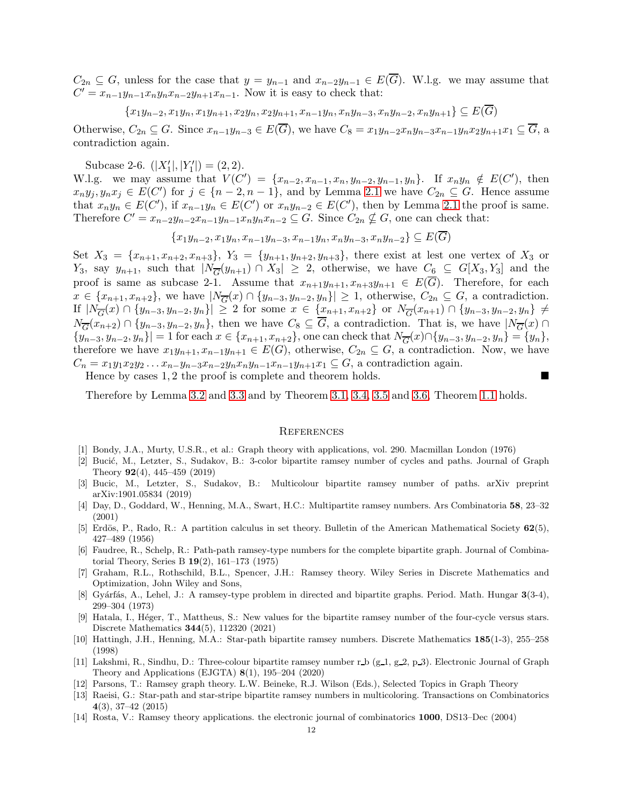$C_{2n} \subseteq G$ , unless for the case that  $y = y_{n-1}$  and  $x_{n-2}y_{n-1} \in E(\overline{G})$ . W.l.g. we may assume that  $C' = x_{n-1}y_{n-1}x_ny_nx_{n-2}y_{n+1}x_{n-1}$ . Now it is easy to check that:

 ${x_1y_{n-2}, x_1y_n, x_1y_{n+1}, x_2y_n, x_2y_{n+1}, x_{n-1}y_n, x_ny_{n-3}, x_ny_{n-2}, x_ny_{n+1}} \subseteq E(\overline{G})$ 

Otherwise,  $C_{2n} \subseteq G$ . Since  $x_{n-1}y_{n-3} \in E(\overline{G})$ , we have  $C_8 = x_1y_{n-2}x_ny_{n-3}x_{n-1}y_nx_2y_{n+1}x_1 \subseteq \overline{G}$ , a contradiction again.

Subcase 2-6.  $(|X'_1|, |Y'_1|)$  $\binom{7}{1} = (2, 2).$ 

W.l.g. we may assume that  $V(C') = \{x_{n-2}, x_{n-1}, x_n, y_{n-2}, y_{n-1}, y_n\}$ . If  $x_n y_n \notin E(C')$ , then  $x_n y_j, y_n x_j \in E(C')$  for  $j \in \{n-2, n-1\}$ , and by Lemma [2.1](#page-1-0) we have  $C_{2n} \subseteq G$ . Hence assume that  $x_ny_n \in E(C')$ , if  $x_{n-1}y_n \in E(C')$  or  $x_ny_{n-2} \in E(C')$ , then by Lemma [2.1](#page-1-0) the proof is same. Therefore  $C' = x_{n-2}y_{n-2}x_{n-1}y_{n-1}x_ny_nx_{n-2} \subseteq G$ . Since  $C_{2n} \nsubseteq G$ , one can check that:

$$
\{x_1y_{n-2}, x_1y_n, x_{n-1}y_{n-3}, x_{n-1}y_n, x_ny_{n-3}, x_ny_{n-2}\} \subseteq E(G)
$$

Set  $X_3 = \{x_{n+1}, x_{n+2}, x_{n+3}\}, Y_3 = \{y_{n+1}, y_{n+2}, y_{n+3}\},$  there exist at lest one vertex of  $X_3$  or Y<sub>3</sub>, say  $y_{n+1}$ , such that  $|N_{\overline{G}}(y_{n+1}) \cap X_3| \geq 2$ , otherwise, we have  $C_6 \subseteq G[X_3, Y_3]$  and the proof is same as subcase 2-1. Assume that  $x_{n+1}y_{n+1}, x_{n+3}y_{n+1} \in E(\overline{G})$ . Therefore, for each  $x \in \{x_{n+1}, x_{n+2}\},\$  we have  $|N_{\overline{G}}(x) \cap \{y_{n-3}, y_{n-2}, y_n\}| \geq 1$ , otherwise,  $C_{2n} \subseteq G$ , a contradiction. If  $|N_{\overline{G}}(x) \cap \{y_{n-3}, y_{n-2}, y_n\}| \ge 2$  for some  $x \in \{x_{n+1}, x_{n+2}\}$  or  $N_{\overline{G}}(x_{n+1}) \cap \{y_{n-3}, y_{n-2}, y_n\} \ne$  $N_{\overline{G}}(x_{n+2}) \cap \{y_{n-3}, y_{n-2}, y_n\}$ , then we have  $C_8 \subseteq G$ , a contradiction. That is, we have  $N_{\overline{G}}(x) \cap$  $\{y_{n-3}, y_{n-2}, y_n\}$  = 1 for each  $x \in \{x_{n+1}, x_{n+2}\}$ , one can check that  $N_{\overline{G}}(x) \cap \{y_{n-3}, y_{n-2}, y_n\} = \{y_n\}$ , therefore we have  $x_1y_{n+1}, x_{n-1}y_{n+1} \in E(G)$ , otherwise,  $C_{2n} \subseteq G$ , a contradiction. Now, we have  $C_n = x_1y_1x_2y_2...x_{n-yn-3}x_{n-2}y_nx_ny_{n-1}x_{n-1}y_{n+1}x_1 \subseteq G$ , a contradiction again.

Hence by cases 1, 2 the proof is complete and theorem holds.

Therefore by Lemma [3.2](#page-2-3) and [3.3](#page-2-4) and by Theorem [3.1,](#page-2-2) [3.4,](#page-2-5) [3.5](#page-4-0) and [3.6,](#page-7-0) Theorem [1.1](#page-0-0) holds.

#### **REFERENCES**

- <span id="page-11-13"></span><span id="page-11-10"></span>[1] Bondy, J.A., Murty, U.S.R., et al.: Graph theory with applications, vol. 290. Macmillan London (1976)
- [2] Bucić, M., Letzter, S., Sudakov, B.: 3-color bipartite ramsey number of cycles and paths. Journal of Graph Theory 92(4), 445–459 (2019)
- <span id="page-11-9"></span>[3] Bucic, M., Letzter, S., Sudakov, B.: Multicolour bipartite ramsey number of paths. arXiv preprint arXiv:1901.05834 (2019)
- <span id="page-11-4"></span>[4] Day, D., Goddard, W., Henning, M.A., Swart, H.C.: Multipartite ramsey numbers. Ars Combinatoria 58, 23–32 (2001)
- <span id="page-11-0"></span>[5] Erdös, P., Rado, R.: A partition calculus in set theory. Bulletin of the American Mathematical Society  $62(5)$ , 427–489 (1956)
- <span id="page-11-5"></span>[6] Faudree, R., Schelp, R.: Path-path ramsey-type numbers for the complete bipartite graph. Journal of Combinatorial Theory, Series B 19(2), 161–173 (1975)
- <span id="page-11-2"></span>[7] Graham, R.L., Rothschild, B.L., Spencer, J.H.: Ramsey theory. Wiley Series in Discrete Mathematics and Optimization, John Wiley and Sons,
- <span id="page-11-6"></span>[8] Gyárfás, A., Lehel, J.: A ramsey-type problem in directed and bipartite graphs. Period. Math. Hungar 3(3-4), 299–304 (1973)
- <span id="page-11-12"></span>[9] Hatala, I., Héger, T., Mattheus, S.: New values for the bipartite ramsey number of the four-cycle versus stars. Discrete Mathematics 344(5), 112320 (2021)
- <span id="page-11-7"></span>[10] Hattingh, J.H., Henning, M.A.: Star-path bipartite ramsey numbers. Discrete Mathematics 185(1-3), 255–258 (1998)
- <span id="page-11-11"></span>[11] Lakshmi, R., Sindhu, D.: Three-colour bipartite ramsey number r b (g 1, g 2, p 3). Electronic Journal of Graph Theory and Applications (EJGTA)  $8(1)$ , 195–204 (2020)
- <span id="page-11-8"></span><span id="page-11-3"></span>[12] Parsons, T.: Ramsey graph theory. L.W. Beineke, R.J. Wilson (Eds.), Selected Topics in Graph Theory
- [13] Raeisi, G.: Star-path and star-stripe bipartite ramsey numbers in multicoloring. Transactions on Combinatorics 4(3), 37–42 (2015)
- <span id="page-11-1"></span>[14] Rosta, V.: Ramsey theory applications. the electronic journal of combinatorics 1000, DS13–Dec (2004)